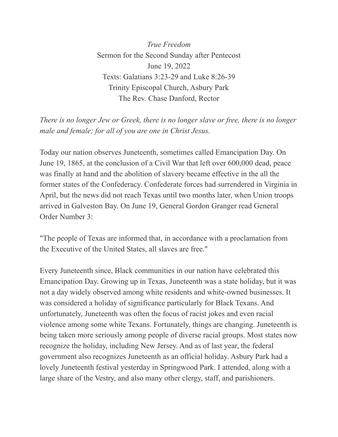*True Freedom* Sermon for the Second Sunday after Pentecost June 19, 2022 Texts: Galatians 3:23-29 and Luke 8:26-39 Trinity Episcopal Church, Asbury Park The Rev. Chase Danford, Rector

*There is no longer Jew or Greek, there is no longer slave or free, there is no longer male and female; for all of you are one in Christ Jesus.*

Today our nation observes Juneteenth, sometimes called Emancipation Day. On June 19, 1865, at the conclusion of a Civil War that left over 600,000 dead, peace was finally at hand and the abolition of slavery became effective in the all the former states of the Confederacy. Confederate forces had surrendered in Virginia in April, but the news did not reach Texas until two months later, when Union troops arrived in Galveston Bay. On June 19, General Gordon Granger read General Order Number 3:

"The people of Texas are informed that, in accordance with a proclamation from the Executive of the United States, all slaves are free."

Every Juneteenth since, Black communities in our nation have celebrated this Emancipation Day. Growing up in Texas, Juneteenth was a state holiday, but it was not a day widely observed among white residents and white-owned businesses. It was considered a holiday of significance particularly for Black Texans. And unfortunately, Juneteenth was often the focus of racist jokes and even racial violence among some white Texans. Fortunately, things are changing. Juneteenth is being taken more seriously among people of diverse racial groups. Most states now recognize the holiday, including New Jersey. And as of last year, the federal government also recognizes Juneteenth as an official holiday. Asbury Park had a lovely Juneteenth festival yesterday in Springwood Park. I attended, along with a large share of the Vestry, and also many other clergy, staff, and parishioners.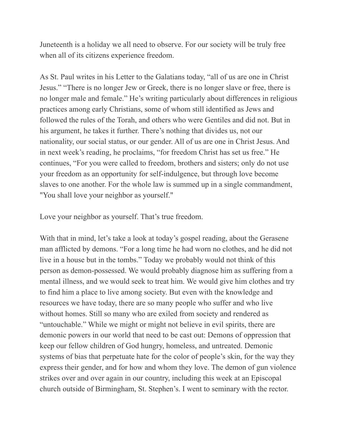Juneteenth is a holiday we all need to observe. For our society will be truly free when all of its citizens experience freedom.

As St. Paul writes in his Letter to the Galatians today, "all of us are one in Christ Jesus." "There is no longer Jew or Greek, there is no longer slave or free, there is no longer male and female." He's writing particularly about differences in religious practices among early Christians, some of whom still identified as Jews and followed the rules of the Torah, and others who were Gentiles and did not. But in his argument, he takes it further. There's nothing that divides us, not our nationality, our social status, or our gender. All of us are one in Christ Jesus. And in next week's reading, he proclaims, "for freedom Christ has set us free." He continues, "For you were called to freedom, brothers and sisters; only do not use your freedom as an opportunity for self-indulgence, but through love become slaves to one another. For the whole law is summed up in a single commandment, "You shall love your neighbor as yourself."

Love your neighbor as yourself. That's true freedom.

With that in mind, let's take a look at today's gospel reading, about the Gerasene man afflicted by demons. "For a long time he had worn no clothes, and he did not live in a house but in the tombs." Today we probably would not think of this person as demon-possessed. We would probably diagnose him as suffering from a mental illness, and we would seek to treat him. We would give him clothes and try to find him a place to live among society. But even with the knowledge and resources we have today, there are so many people who suffer and who live without homes. Still so many who are exiled from society and rendered as "untouchable." While we might or might not believe in evil spirits, there are demonic powers in our world that need to be cast out: Demons of oppression that keep our fellow children of God hungry, homeless, and untreated. Demonic systems of bias that perpetuate hate for the color of people's skin, for the way they express their gender, and for how and whom they love. The demon of gun violence strikes over and over again in our country, including this week at an Episcopal church outside of Birmingham, St. Stephen's. I went to seminary with the rector.